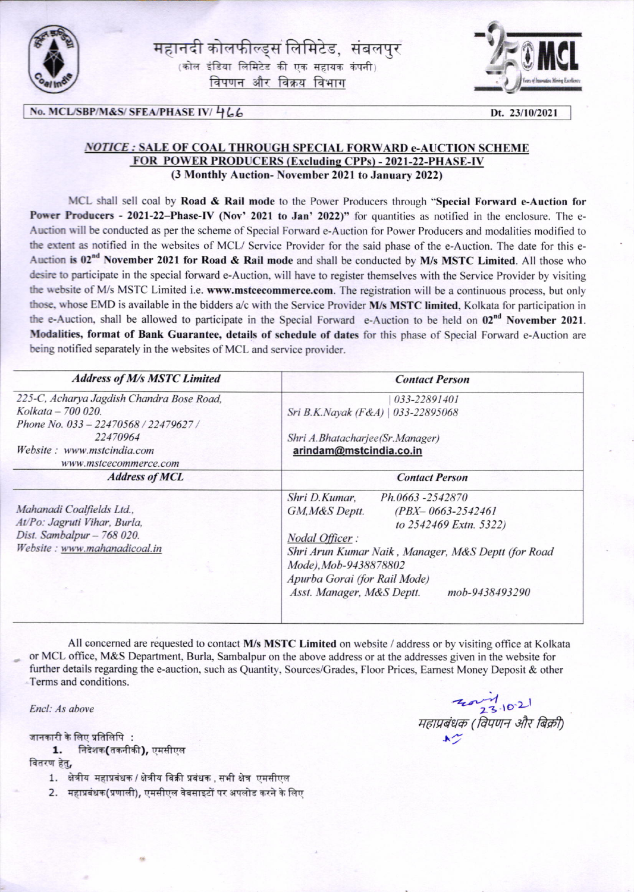

महानदी कोलफील्ड्स लिमिटेड, संबलपुर  $\left( \frac{1}{2} \right)$  कोल इंडिया लिमिटेड की एक सहायक कंपनी विपणन और विक्रय विभाग



## $\overline{\text{No.} \text{MCL/SBP/M&S/} \text{SFEA/PHASE IV/} \leftarrow \text{Lo.} 23/10/2021}$

## NOTICE : SALE OF COAL THROUGH SPECIAL FORWARD e-AUCTION SCHEME FOR POWER PRODUCERS (Excluding CPPs) - 2021-22-PHASE-IV (3 Monthly Auction- November 2021 to January 2022)

MCL shall sell coal by Road & Rail mode to the Power Producers through "Special Forward e-Auction for Power Producers - 2021-22-Phase-IV (Nov' 2021 to Jan' 2022)" for quantities as notified in the enclosure. The e-Auction will be conducted as per the scheme of Special Forward e-Auction for Power Producers and modalities modified to the extent as notified in the websites of MCL/ Service Provider for the said phase of the e-Auction. The date for this e-Auction is  $02^{nd}$  November 2021 for Road & Rail mode and shall be conducted by M/s MSTC Limited. All those who desire to participate in the special forward e-Auction, will have to register themselves with the Service Provider by visiting the website of M/s MSTC Limited i.e. www.mstcecommerce.com. The registration will be a continuous process, but only those, whose EMD is available in the bidders a/c with the Service Provider M/s MSTC limited, Kolkata for participation in the e-Auction, shall be allowed to participate in the Special Forward e-Auction to be held on 02<sup>nd</sup> November 2021. Modalities, format of Bank Guarantee, details of schedule of dates for this phase of Special Forward e-Auction are being notified separately in the websites of MCL and service provider.

| <b>Address of M/s MSTC Limited</b>        | <b>Contact Person</b>                              |  |  |  |
|-------------------------------------------|----------------------------------------------------|--|--|--|
| 225-C, Acharya Jagdish Chandra Bose Road, | 033-22891401                                       |  |  |  |
| Kolkata - 700 020.                        | Sri B.K.Nayak (F&A)   033-22895068                 |  |  |  |
| Phone No. 033 - 22470568 / 22479627 /     |                                                    |  |  |  |
| 22470964                                  | Shri A.Bhatacharjee(Sr.Manager)                    |  |  |  |
| Website: www.mstcindia.com                | arindam@mstcindia.co.in                            |  |  |  |
| www.mstcecommerce.com                     |                                                    |  |  |  |
| <b>Address of MCL</b>                     | <b>Contact Person</b>                              |  |  |  |
|                                           | Shri D.Kumar,<br>Ph.0663 -2542870                  |  |  |  |
| Mahanadi Coalfields Ltd.,                 | GM, M&S Deptt.<br>$(PBX - 0663 - 2542461)$         |  |  |  |
| At/Po: Jagruti Vihar, Burla,              | to 2542469 Extn. 5322)                             |  |  |  |
| Dist. Sambalpur - 768 020.                | Nodal Officer:                                     |  |  |  |
| Website: www.mahanadicoal.in              | Shri Arun Kumar Naik, Manager, M&S Deptt (for Road |  |  |  |
|                                           | Mode), Mob-9438878802                              |  |  |  |
|                                           | Apurba Gorai (for Rail Mode)                       |  |  |  |
|                                           | Asst. Manager, M&S Deptt.<br>mob-9438493290        |  |  |  |

All concerned are requested to contact M/s MSTC Limited on website / address or by visiting office at Kolkata or MCL office, M&S Department, Burla, Sambalpur on the above address or at the addresses given in the website for further details regarding the e-auction, such as Quantity, Sources/Crades, Floor Prices, Earnest Money Deposit & other Terms and conditions.

जानकारी के लिए प्रतिलिपि :<br>1. निदेशक(तकनीकी), एमसीएल

वितरण हेतु,

- 1. क्षेत्रीय महाप्रबंधक / क्षेत्रीय बिक्री प्रबंधक, सभी क्षेत्र एमसीएल
- 2. महाप्रबंधक(प्रणाली), एमसीएल वेबसाइटों पर अपलोड करने के लिए

Encl: As above  $\frac{23.10-2}{23.10-2}$ qdwqET tfrqw qrnr8tfrSffiFrft . efu @